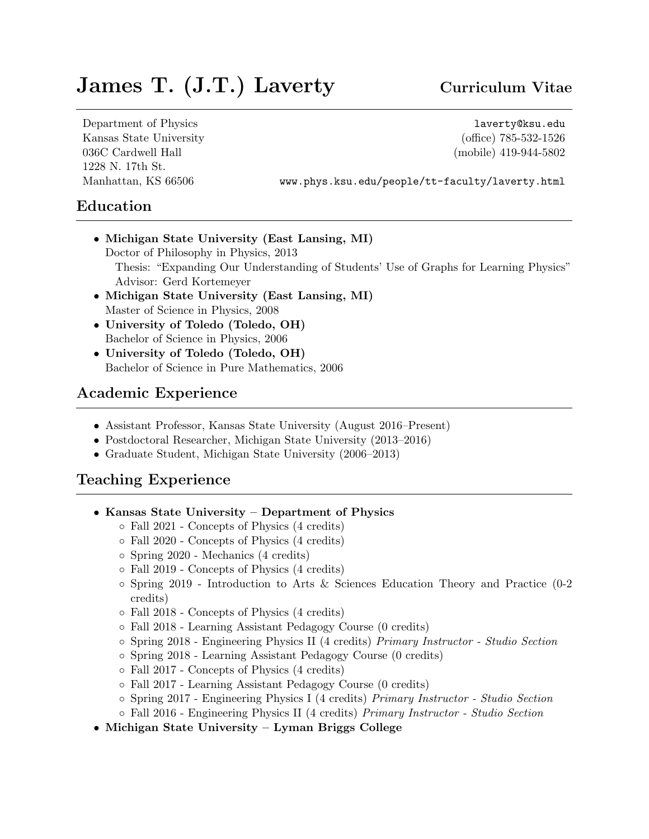# James T. (J.T.) Laverty Curriculum Vitae

Department of Physics <laverty@ksu.edu> Kansas State University (office) 785-532-1526 036C Cardwell Hall (mobile) 419-944-5802 1228 N. 17th St.

Manhattan, KS 66506 <www.phys.ksu.edu/people/tt-faculty/laverty.html>

# Education

- Michigan State University (East Lansing, MI) Doctor of Philosophy in Physics, 2013 Thesis: "Expanding Our Understanding of Students' Use of Graphs for Learning Physics" Advisor: Gerd Kortemeyer
- Michigan State University (East Lansing, MI) Master of Science in Physics, 2008
- University of Toledo (Toledo, OH) Bachelor of Science in Physics, 2006
- University of Toledo (Toledo, OH) Bachelor of Science in Pure Mathematics, 2006

# Academic Experience

- Assistant Professor, Kansas State University (August 2016–Present)
- Postdoctoral Researcher, Michigan State University (2013–2016)
- Graduate Student, Michigan State University (2006–2013)

# Teaching Experience

- Kansas State University Department of Physics
	- Fall 2021 Concepts of Physics (4 credits)
	- Fall 2020 Concepts of Physics (4 credits)
	- Spring 2020 Mechanics (4 credits)
	- Fall 2019 Concepts of Physics (4 credits)
	- Spring 2019 Introduction to Arts & Sciences Education Theory and Practice (0-2 credits)
	- Fall 2018 Concepts of Physics (4 credits)
	- Fall 2018 Learning Assistant Pedagogy Course (0 credits)
	- Spring 2018 Engineering Physics II (4 credits) Primary Instructor Studio Section
	- Spring 2018 Learning Assistant Pedagogy Course (0 credits)
	- Fall 2017 Concepts of Physics (4 credits)
	- Fall 2017 Learning Assistant Pedagogy Course (0 credits)
	- Spring 2017 Engineering Physics I (4 credits) Primary Instructor Studio Section
	- Fall 2016 Engineering Physics II (4 credits) Primary Instructor Studio Section
- Michigan State University Lyman Briggs College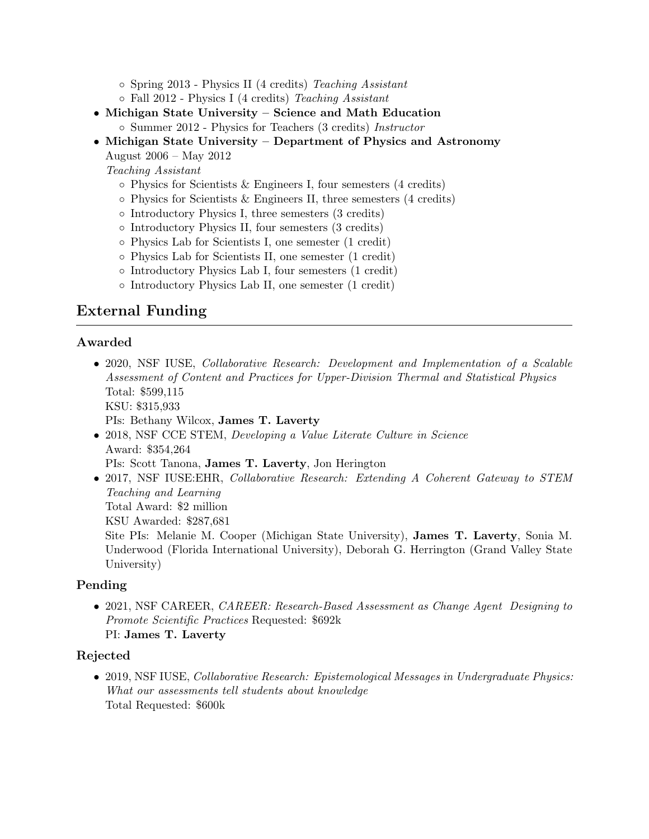- Spring 2013 Physics II (4 credits) Teaching Assistant
- Fall 2012 Physics I (4 credits) Teaching Assistant
- Michigan State University Science and Math Education ◦ Summer 2012 - Physics for Teachers (3 credits) Instructor
- Michigan State University Department of Physics and Astronomy

August 2006 – May 2012

Teaching Assistant

- $\circ$  Physics for Scientists & Engineers I, four semesters (4 credits)
- Physics for Scientists & Engineers II, three semesters (4 credits)
- Introductory Physics I, three semesters (3 credits)
- Introductory Physics II, four semesters (3 credits)
- Physics Lab for Scientists I, one semester (1 credit)
- Physics Lab for Scientists II, one semester (1 credit)
- Introductory Physics Lab I, four semesters (1 credit)
- Introductory Physics Lab II, one semester (1 credit)

# External Funding

#### Awarded

• 2020, NSF IUSE, *Collaborative Research: Development and Implementation of a Scalable* Assessment of Content and Practices for Upper-Division Thermal and Statistical Physics Total: \$599,115 KSU: \$315,933

PIs: Bethany Wilcox, James T. Laverty

- 2018, NSF CCE STEM, Developing a Value Literate Culture in Science Award: \$354,264
	- PIs: Scott Tanona, James T. Laverty, Jon Herington
- 2017, NSF IUSE:EHR, Collaborative Research: Extending A Coherent Gateway to STEM Teaching and Learning Total Award: \$2 million

KSU Awarded: \$287,681

Site PIs: Melanie M. Cooper (Michigan State University), James T. Laverty, Sonia M. Underwood (Florida International University), Deborah G. Herrington (Grand Valley State University)

#### Pending

• 2021, NSF CAREER, CAREER: Research-Based Assessment as Change Agent Designing to Promote Scientific Practices Requested: \$692k PI: James T. Laverty

#### Rejected

• 2019, NSF IUSE, Collaborative Research: Epistemological Messages in Undergraduate Physics: What our assessments tell students about knowledge Total Requested: \$600k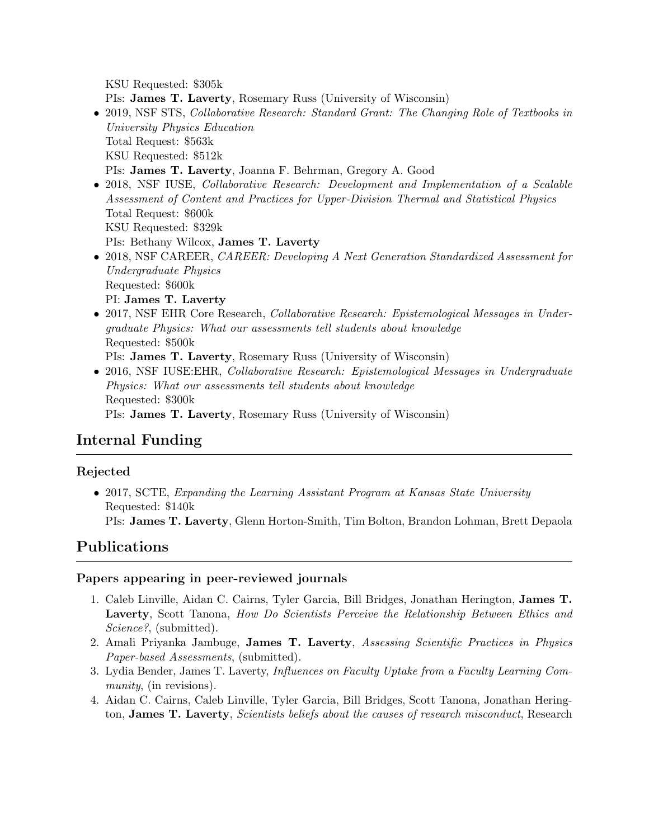KSU Requested: \$305k

PIs: James T. Laverty, Rosemary Russ (University of Wisconsin)

- 2019, NSF STS, Collaborative Research: Standard Grant: The Changing Role of Textbooks in University Physics Education Total Request: \$563k KSU Requested: \$512k PIs: James T. Laverty, Joanna F. Behrman, Gregory A. Good
- 2018, NSF IUSE, *Collaborative Research: Development and Implementation of a Scalable* Assessment of Content and Practices for Upper-Division Thermal and Statistical Physics Total Request: \$600k KSU Requested: \$329k PIs: Bethany Wilcox, James T. Laverty
- 2018, NSF CAREER, CAREER: Developing A Next Generation Standardized Assessment for Undergraduate Physics Requested: \$600k PI: James T. Laverty
- 2017, NSF EHR Core Research, *Collaborative Research: Epistemological Messages in Under*graduate Physics: What our assessments tell students about knowledge Requested: \$500k PIs: James T. Laverty, Rosemary Russ (University of Wisconsin)
- 2016, NSF IUSE: EHR, Collaborative Research: Epistemological Messages in Undergraduate Physics: What our assessments tell students about knowledge Requested: \$300k PIs: James T. Laverty, Rosemary Russ (University of Wisconsin)

# Internal Funding

# Rejected

• 2017, SCTE, Expanding the Learning Assistant Program at Kansas State University Requested: \$140k PIs: James T. Laverty, Glenn Horton-Smith, Tim Bolton, Brandon Lohman, Brett Depaola

# Publications

## Papers appearing in peer-reviewed journals

- 1. Caleb Linville, Aidan C. Cairns, Tyler Garcia, Bill Bridges, Jonathan Herington, James T. Laverty, Scott Tanona, How Do Scientists Perceive the Relationship Between Ethics and Science?, (submitted).
- 2. Amali Priyanka Jambuge, James T. Laverty, Assessing Scientific Practices in Physics Paper-based Assessments, (submitted).
- 3. Lydia Bender, James T. Laverty, Influences on Faculty Uptake from a Faculty Learning Community, (in revisions).
- 4. Aidan C. Cairns, Caleb Linville, Tyler Garcia, Bill Bridges, Scott Tanona, Jonathan Herington, James T. Laverty, Scientists beliefs about the causes of research misconduct, Research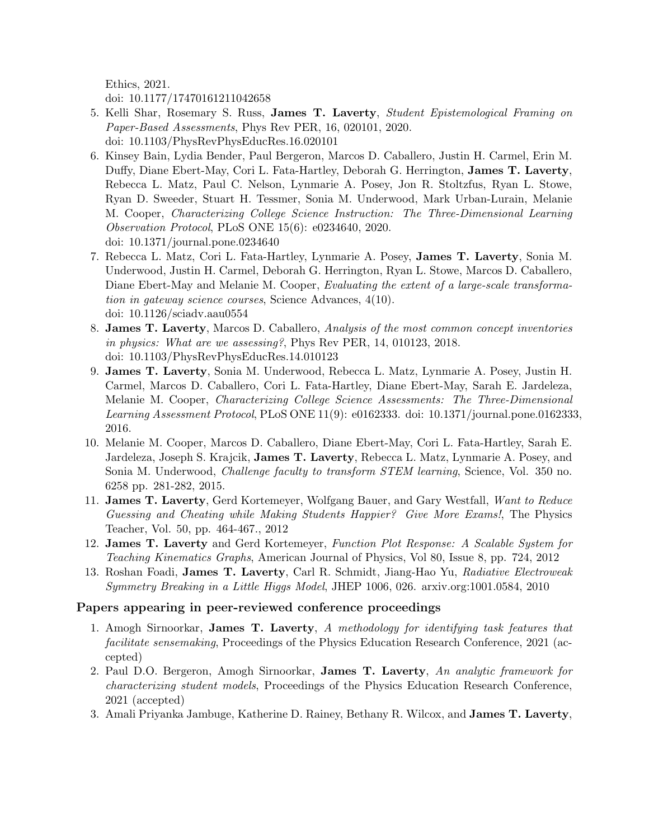Ethics, 2021.

doi: 10.1177/17470161211042658

- 5. Kelli Shar, Rosemary S. Russ, James T. Laverty, Student Epistemological Framing on Paper-Based Assessments, Phys Rev PER, 16, 020101, 2020. doi: 10.1103/PhysRevPhysEducRes.16.020101
- 6. Kinsey Bain, Lydia Bender, Paul Bergeron, Marcos D. Caballero, Justin H. Carmel, Erin M. Duffy, Diane Ebert-May, Cori L. Fata-Hartley, Deborah G. Herrington, James T. Laverty, Rebecca L. Matz, Paul C. Nelson, Lynmarie A. Posey, Jon R. Stoltzfus, Ryan L. Stowe, Ryan D. Sweeder, Stuart H. Tessmer, Sonia M. Underwood, Mark Urban-Lurain, Melanie M. Cooper, Characterizing College Science Instruction: The Three-Dimensional Learning Observation Protocol, PLoS ONE 15(6): e0234640, 2020. doi: 10.1371/journal.pone.0234640
- 7. Rebecca L. Matz, Cori L. Fata-Hartley, Lynmarie A. Posey, James T. Laverty, Sonia M. Underwood, Justin H. Carmel, Deborah G. Herrington, Ryan L. Stowe, Marcos D. Caballero, Diane Ebert-May and Melanie M. Cooper, Evaluating the extent of a large-scale transformation in gateway science courses, Science Advances, 4(10). doi: 10.1126/sciadv.aau0554
- 8. James T. Laverty, Marcos D. Caballero, Analysis of the most common concept inventories in physics: What are we assessing?, Phys Rev PER, 14, 010123, 2018. doi: 10.1103/PhysRevPhysEducRes.14.010123
- 9. James T. Laverty, Sonia M. Underwood, Rebecca L. Matz, Lynmarie A. Posey, Justin H. Carmel, Marcos D. Caballero, Cori L. Fata-Hartley, Diane Ebert-May, Sarah E. Jardeleza, Melanie M. Cooper, Characterizing College Science Assessments: The Three-Dimensional Learning Assessment Protocol, PLoS ONE 11(9): e0162333. doi: 10.1371/journal.pone.0162333, 2016.
- 10. Melanie M. Cooper, Marcos D. Caballero, Diane Ebert-May, Cori L. Fata-Hartley, Sarah E. Jardeleza, Joseph S. Krajcik, James T. Laverty, Rebecca L. Matz, Lynmarie A. Posey, and Sonia M. Underwood, *Challenge faculty to transform STEM learning*, Science, Vol. 350 no. 6258 pp. 281-282, 2015.
- 11. James T. Laverty, Gerd Kortemeyer, Wolfgang Bauer, and Gary Westfall, Want to Reduce Guessing and Cheating while Making Students Happier? Give More Exams!, The Physics Teacher, Vol. 50, pp. 464-467., 2012
- 12. James T. Laverty and Gerd Kortemeyer, Function Plot Response: A Scalable System for Teaching Kinematics Graphs, American Journal of Physics, Vol 80, Issue 8, pp. 724, 2012
- 13. Roshan Foadi, James T. Laverty, Carl R. Schmidt, Jiang-Hao Yu, Radiative Electroweak Symmetry Breaking in a Little Higgs Model, JHEP 1006, 026. arxiv.org:1001.0584, 2010

#### Papers appearing in peer-reviewed conference proceedings

- 1. Amogh Sirnoorkar, James T. Laverty, A methodology for identifying task features that facilitate sensemaking, Proceedings of the Physics Education Research Conference, 2021 (accepted)
- 2. Paul D.O. Bergeron, Amogh Sirnoorkar, James T. Laverty, An analytic framework for characterizing student models, Proceedings of the Physics Education Research Conference, 2021 (accepted)
- 3. Amali Priyanka Jambuge, Katherine D. Rainey, Bethany R. Wilcox, and James T. Laverty,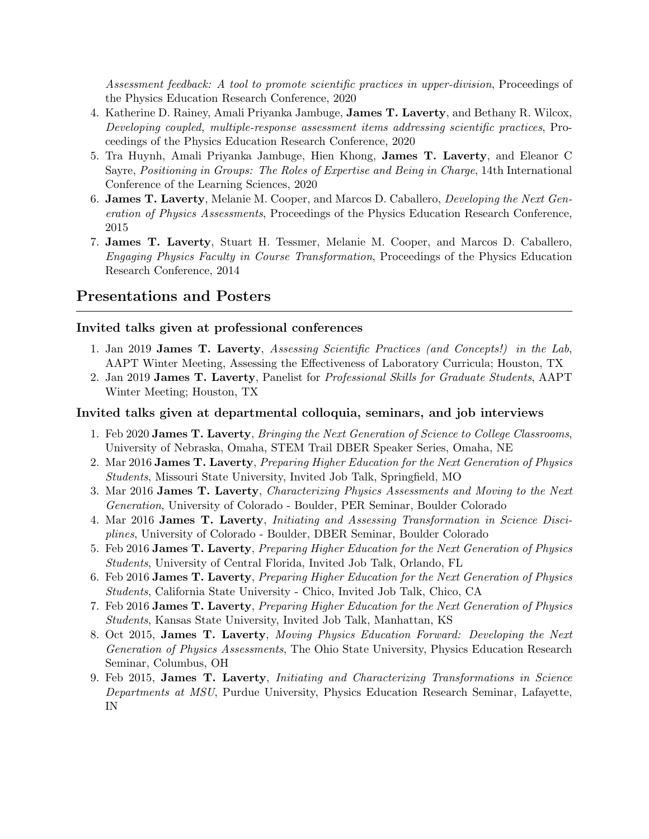Assessment feedback: A tool to promote scientific practices in upper-division, Proceedings of the Physics Education Research Conference, 2020

- 4. Katherine D. Rainey, Amali Priyanka Jambuge, James T. Laverty, and Bethany R. Wilcox, Developing coupled, multiple-response assessment items addressing scientific practices, Proceedings of the Physics Education Research Conference, 2020
- 5. Tra Huynh, Amali Priyanka Jambuge, Hien Khong, James T. Laverty, and Eleanor C Sayre, Positioning in Groups: The Roles of Expertise and Being in Charge, 14th International Conference of the Learning Sciences, 2020
- 6. James T. Laverty, Melanie M. Cooper, and Marcos D. Caballero, Developing the Next Generation of Physics Assessments, Proceedings of the Physics Education Research Conference, 2015
- 7. James T. Laverty, Stuart H. Tessmer, Melanie M. Cooper, and Marcos D. Caballero, Engaging Physics Faculty in Course Transformation, Proceedings of the Physics Education Research Conference, 2014

## Presentations and Posters

#### Invited talks given at professional conferences

- 1. Jan 2019 James T. Laverty, Assessing Scientific Practices (and Concepts!) in the Lab, AAPT Winter Meeting, Assessing the Effectiveness of Laboratory Curricula; Houston, TX
- 2. Jan 2019 James T. Laverty, Panelist for Professional Skills for Graduate Students, AAPT Winter Meeting; Houston, TX

#### Invited talks given at departmental colloquia, seminars, and job interviews

- 1. Feb 2020 James T. Laverty, Bringing the Next Generation of Science to College Classrooms, University of Nebraska, Omaha, STEM Trail DBER Speaker Series, Omaha, NE
- 2. Mar 2016 James T. Laverty, Preparing Higher Education for the Next Generation of Physics Students, Missouri State University, Invited Job Talk, Springfield, MO
- 3. Mar 2016 James T. Laverty, Characterizing Physics Assessments and Moving to the Next Generation, University of Colorado - Boulder, PER Seminar, Boulder Colorado
- 4. Mar 2016 James T. Laverty, Initiating and Assessing Transformation in Science Disciplines, University of Colorado - Boulder, DBER Seminar, Boulder Colorado
- 5. Feb 2016 James T. Laverty, Preparing Higher Education for the Next Generation of Physics Students, University of Central Florida, Invited Job Talk, Orlando, FL
- 6. Feb 2016 James T. Laverty, Preparing Higher Education for the Next Generation of Physics Students, California State University - Chico, Invited Job Talk, Chico, CA
- 7. Feb 2016 James T. Laverty, Preparing Higher Education for the Next Generation of Physics Students, Kansas State University, Invited Job Talk, Manhattan, KS
- 8. Oct 2015, James T. Laverty, Moving Physics Education Forward: Developing the Next Generation of Physics Assessments, The Ohio State University, Physics Education Research Seminar, Columbus, OH
- 9. Feb 2015, James T. Laverty, Initiating and Characterizing Transformations in Science Departments at MSU, Purdue University, Physics Education Research Seminar, Lafayette, IN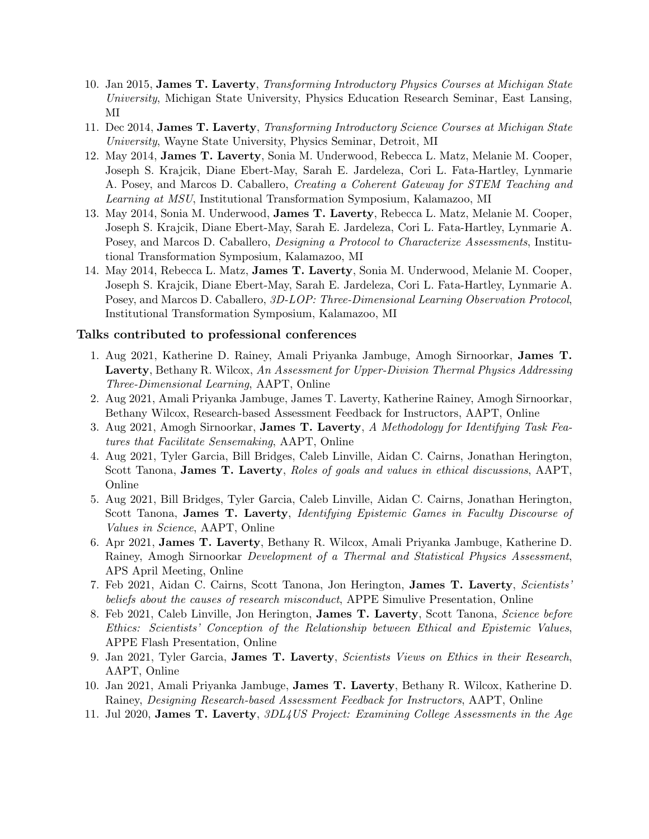- 10. Jan 2015, James T. Laverty, Transforming Introductory Physics Courses at Michigan State University, Michigan State University, Physics Education Research Seminar, East Lansing, MI
- 11. Dec 2014, James T. Laverty, Transforming Introductory Science Courses at Michigan State University, Wayne State University, Physics Seminar, Detroit, MI
- 12. May 2014, James T. Laverty, Sonia M. Underwood, Rebecca L. Matz, Melanie M. Cooper, Joseph S. Krajcik, Diane Ebert-May, Sarah E. Jardeleza, Cori L. Fata-Hartley, Lynmarie A. Posey, and Marcos D. Caballero, Creating a Coherent Gateway for STEM Teaching and Learning at MSU, Institutional Transformation Symposium, Kalamazoo, MI
- 13. May 2014, Sonia M. Underwood, James T. Laverty, Rebecca L. Matz, Melanie M. Cooper, Joseph S. Krajcik, Diane Ebert-May, Sarah E. Jardeleza, Cori L. Fata-Hartley, Lynmarie A. Posey, and Marcos D. Caballero, Designing a Protocol to Characterize Assessments, Institutional Transformation Symposium, Kalamazoo, MI
- 14. May 2014, Rebecca L. Matz, James T. Laverty, Sonia M. Underwood, Melanie M. Cooper, Joseph S. Krajcik, Diane Ebert-May, Sarah E. Jardeleza, Cori L. Fata-Hartley, Lynmarie A. Posey, and Marcos D. Caballero, 3D-LOP: Three-Dimensional Learning Observation Protocol, Institutional Transformation Symposium, Kalamazoo, MI

#### Talks contributed to professional conferences

- 1. Aug 2021, Katherine D. Rainey, Amali Priyanka Jambuge, Amogh Sirnoorkar, James T. Laverty, Bethany R. Wilcox, An Assessment for Upper-Division Thermal Physics Addressing Three-Dimensional Learning, AAPT, Online
- 2. Aug 2021, Amali Priyanka Jambuge, James T. Laverty, Katherine Rainey, Amogh Sirnoorkar, Bethany Wilcox, Research-based Assessment Feedback for Instructors, AAPT, Online
- 3. Aug 2021, Amogh Sirnoorkar, **James T. Laverty**, A Methodology for Identifying Task Features that Facilitate Sensemaking, AAPT, Online
- 4. Aug 2021, Tyler Garcia, Bill Bridges, Caleb Linville, Aidan C. Cairns, Jonathan Herington, Scott Tanona, James T. Laverty, Roles of goals and values in ethical discussions, AAPT, Online
- 5. Aug 2021, Bill Bridges, Tyler Garcia, Caleb Linville, Aidan C. Cairns, Jonathan Herington, Scott Tanona, James T. Laverty, Identifying Epistemic Games in Faculty Discourse of Values in Science, AAPT, Online
- 6. Apr 2021, James T. Laverty, Bethany R. Wilcox, Amali Priyanka Jambuge, Katherine D. Rainey, Amogh Sirnoorkar Development of a Thermal and Statistical Physics Assessment, APS April Meeting, Online
- 7. Feb 2021, Aidan C. Cairns, Scott Tanona, Jon Herington, James T. Laverty, Scientists' beliefs about the causes of research misconduct, APPE Simulive Presentation, Online
- 8. Feb 2021, Caleb Linville, Jon Herington, James T. Laverty, Scott Tanona, Science before Ethics: Scientists' Conception of the Relationship between Ethical and Epistemic Values, APPE Flash Presentation, Online
- 9. Jan 2021, Tyler Garcia, James T. Laverty, Scientists Views on Ethics in their Research, AAPT, Online
- 10. Jan 2021, Amali Priyanka Jambuge, James T. Laverty, Bethany R. Wilcox, Katherine D. Rainey, Designing Research-based Assessment Feedback for Instructors, AAPT, Online
- 11. Jul 2020, James T. Laverty, 3DL4US Project: Examining College Assessments in the Age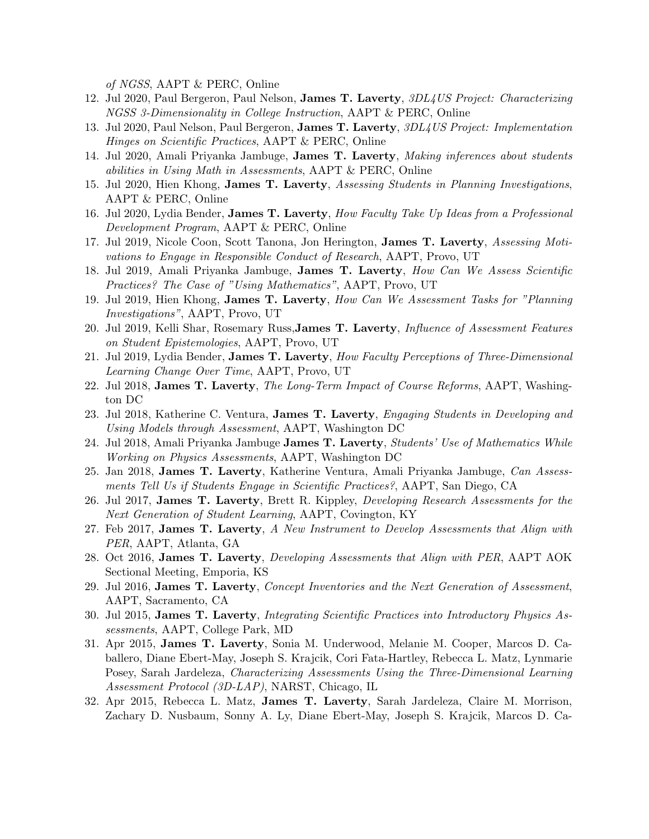of NGSS, AAPT & PERC, Online

- 12. Jul 2020, Paul Bergeron, Paul Nelson, James T. Laverty, 3DL4US Project: Characterizing NGSS 3-Dimensionality in College Instruction, AAPT & PERC, Online
- 13. Jul 2020, Paul Nelson, Paul Bergeron, James T. Laverty, 3DL4US Project: Implementation Hinges on Scientific Practices, AAPT & PERC, Online
- 14. Jul 2020, Amali Priyanka Jambuge, James T. Laverty, Making inferences about students abilities in Using Math in Assessments, AAPT & PERC, Online
- 15. Jul 2020, Hien Khong, James T. Laverty, Assessing Students in Planning Investigations, AAPT & PERC, Online
- 16. Jul 2020, Lydia Bender, James T. Laverty, How Faculty Take Up Ideas from a Professional Development Program, AAPT & PERC, Online
- 17. Jul 2019, Nicole Coon, Scott Tanona, Jon Herington, James T. Laverty, Assessing Motivations to Engage in Responsible Conduct of Research, AAPT, Provo, UT
- 18. Jul 2019, Amali Priyanka Jambuge, James T. Laverty, How Can We Assess Scientific Practices? The Case of "Using Mathematics", AAPT, Provo, UT
- 19. Jul 2019, Hien Khong, James T. Laverty, How Can We Assessment Tasks for "Planning" Investigations", AAPT, Provo, UT
- 20. Jul 2019, Kelli Shar, Rosemary Russ,James T. Laverty, Influence of Assessment Features on Student Epistemologies, AAPT, Provo, UT
- 21. Jul 2019, Lydia Bender, James T. Laverty, How Faculty Perceptions of Three-Dimensional Learning Change Over Time, AAPT, Provo, UT
- 22. Jul 2018, James T. Laverty, The Long-Term Impact of Course Reforms, AAPT, Washington DC
- 23. Jul 2018, Katherine C. Ventura, James T. Laverty, Engaging Students in Developing and Using Models through Assessment, AAPT, Washington DC
- 24. Jul 2018, Amali Priyanka Jambuge James T. Laverty, Students' Use of Mathematics While Working on Physics Assessments, AAPT, Washington DC
- 25. Jan 2018, James T. Laverty, Katherine Ventura, Amali Priyanka Jambuge, Can Assessments Tell Us if Students Engage in Scientific Practices?, AAPT, San Diego, CA
- 26. Jul 2017, James T. Laverty, Brett R. Kippley, Developing Research Assessments for the Next Generation of Student Learning, AAPT, Covington, KY
- 27. Feb 2017, James T. Laverty, A New Instrument to Develop Assessments that Align with PER, AAPT, Atlanta, GA
- 28. Oct 2016, James T. Laverty, Developing Assessments that Align with PER, AAPT AOK Sectional Meeting, Emporia, KS
- 29. Jul 2016, James T. Laverty, Concept Inventories and the Next Generation of Assessment, AAPT, Sacramento, CA
- 30. Jul 2015, James T. Laverty, Integrating Scientific Practices into Introductory Physics Assessments, AAPT, College Park, MD
- 31. Apr 2015, James T. Laverty, Sonia M. Underwood, Melanie M. Cooper, Marcos D. Caballero, Diane Ebert-May, Joseph S. Krajcik, Cori Fata-Hartley, Rebecca L. Matz, Lynmarie Posey, Sarah Jardeleza, Characterizing Assessments Using the Three-Dimensional Learning Assessment Protocol (3D-LAP), NARST, Chicago, IL
- 32. Apr 2015, Rebecca L. Matz, James T. Laverty, Sarah Jardeleza, Claire M. Morrison, Zachary D. Nusbaum, Sonny A. Ly, Diane Ebert-May, Joseph S. Krajcik, Marcos D. Ca-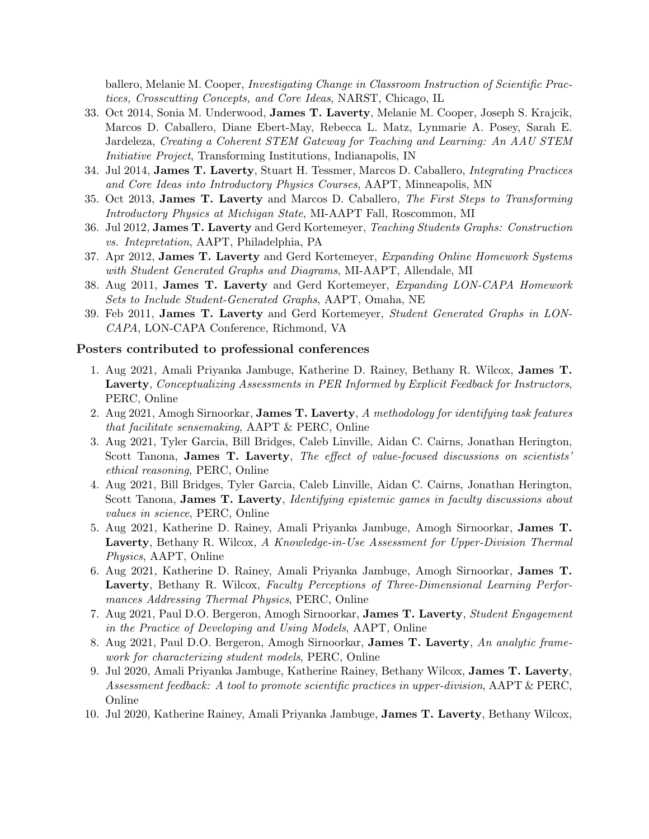ballero, Melanie M. Cooper, *Investigating Change in Classroom Instruction of Scientific Prac*tices, Crosscutting Concepts, and Core Ideas, NARST, Chicago, IL

- 33. Oct 2014, Sonia M. Underwood, James T. Laverty, Melanie M. Cooper, Joseph S. Krajcik, Marcos D. Caballero, Diane Ebert-May, Rebecca L. Matz, Lynmarie A. Posey, Sarah E. Jardeleza, Creating a Coherent STEM Gateway for Teaching and Learning: An AAU STEM Initiative Project, Transforming Institutions, Indianapolis, IN
- 34. Jul 2014, James T. Laverty, Stuart H. Tessmer, Marcos D. Caballero, Integrating Practices and Core Ideas into Introductory Physics Courses, AAPT, Minneapolis, MN
- 35. Oct 2013, James T. Laverty and Marcos D. Caballero, The First Steps to Transforming Introductory Physics at Michigan State, MI-AAPT Fall, Roscommon, MI
- 36. Jul 2012, James T. Laverty and Gerd Kortemeyer, Teaching Students Graphs: Construction vs. Intepretation, AAPT, Philadelphia, PA
- 37. Apr 2012, James T. Laverty and Gerd Kortemeyer, Expanding Online Homework Systems with Student Generated Graphs and Diagrams, MI-AAPT, Allendale, MI
- 38. Aug 2011, James T. Laverty and Gerd Kortemeyer, Expanding LON-CAPA Homework Sets to Include Student-Generated Graphs, AAPT, Omaha, NE
- 39. Feb 2011, James T. Laverty and Gerd Kortemeyer, Student Generated Graphs in LON-CAPA, LON-CAPA Conference, Richmond, VA

#### Posters contributed to professional conferences

- 1. Aug 2021, Amali Priyanka Jambuge, Katherine D. Rainey, Bethany R. Wilcox, James T. Laverty, Conceptualizing Assessments in PER Informed by Explicit Feedback for Instructors, PERC, Online
- 2. Aug 2021, Amogh Sirnoorkar, James T. Laverty, A methodology for identifying task features that facilitate sensemaking, AAPT & PERC, Online
- 3. Aug 2021, Tyler Garcia, Bill Bridges, Caleb Linville, Aidan C. Cairns, Jonathan Herington, Scott Tanona, James T. Laverty, The effect of value-focused discussions on scientists ethical reasoning, PERC, Online
- 4. Aug 2021, Bill Bridges, Tyler Garcia, Caleb Linville, Aidan C. Cairns, Jonathan Herington, Scott Tanona, James T. Laverty, *Identifying epistemic games in faculty discussions about* values in science, PERC, Online
- 5. Aug 2021, Katherine D. Rainey, Amali Priyanka Jambuge, Amogh Sirnoorkar, James T. Laverty, Bethany R. Wilcox, A Knowledge-in-Use Assessment for Upper-Division Thermal Physics, AAPT, Online
- 6. Aug 2021, Katherine D. Rainey, Amali Priyanka Jambuge, Amogh Sirnoorkar, James T. Laverty, Bethany R. Wilcox, Faculty Perceptions of Three-Dimensional Learning Performances Addressing Thermal Physics, PERC, Online
- 7. Aug 2021, Paul D.O. Bergeron, Amogh Sirnoorkar, James T. Laverty, Student Engagement in the Practice of Developing and Using Models, AAPT, Online
- 8. Aug 2021, Paul D.O. Bergeron, Amogh Sirnoorkar, **James T. Laverty**, An analytic framework for characterizing student models, PERC, Online
- 9. Jul 2020, Amali Priyanka Jambuge, Katherine Rainey, Bethany Wilcox, James T. Laverty, Assessment feedback: A tool to promote scientific practices in upper-division, AAPT & PERC, Online
- 10. Jul 2020, Katherine Rainey, Amali Priyanka Jambuge, James T. Laverty, Bethany Wilcox,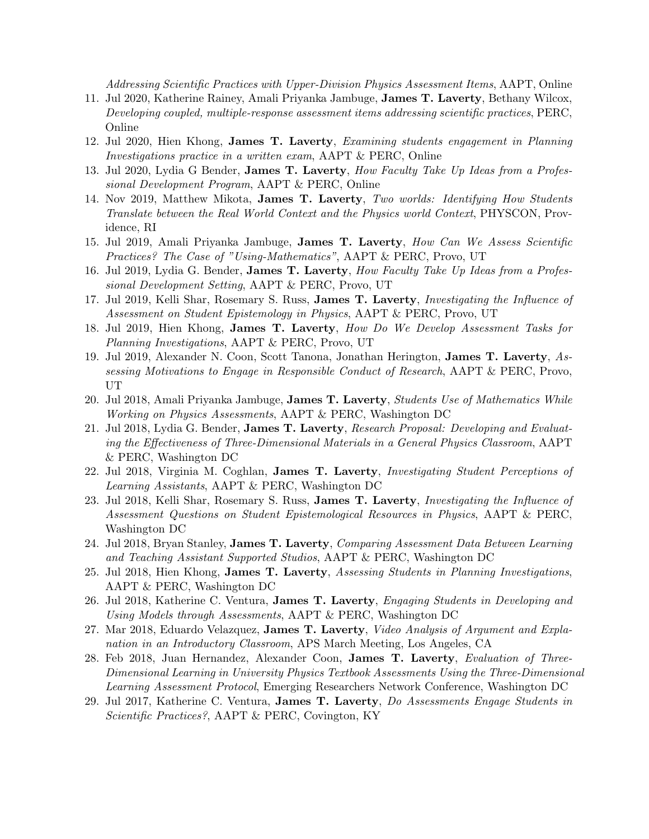Addressing Scientific Practices with Upper-Division Physics Assessment Items, AAPT, Online

- 11. Jul 2020, Katherine Rainey, Amali Priyanka Jambuge, James T. Laverty, Bethany Wilcox, Developing coupled, multiple-response assessment items addressing scientific practices, PERC, Online
- 12. Jul 2020, Hien Khong, James T. Laverty, Examining students engagement in Planning Investigations practice in a written exam, AAPT & PERC, Online
- 13. Jul 2020, Lydia G Bender, **James T. Laverty**, *How Faculty Take Up Ideas from a Profes*sional Development Program, AAPT & PERC, Online
- 14. Nov 2019, Matthew Mikota, James T. Laverty, Two worlds: Identifying How Students Translate between the Real World Context and the Physics world Context, PHYSCON, Providence, RI
- 15. Jul 2019, Amali Priyanka Jambuge, James T. Laverty, How Can We Assess Scientific Practices? The Case of "Using-Mathematics", AAPT & PERC, Provo, UT
- 16. Jul 2019, Lydia G. Bender, James T. Laverty, How Faculty Take Up Ideas from a Professional Development Setting, AAPT & PERC, Provo, UT
- 17. Jul 2019, Kelli Shar, Rosemary S. Russ, **James T. Laverty**, *Investigating the Influence of* Assessment on Student Epistemology in Physics, AAPT & PERC, Provo, UT
- 18. Jul 2019, Hien Khong, James T. Laverty, How Do We Develop Assessment Tasks for Planning Investigations, AAPT & PERC, Provo, UT
- 19. Jul 2019, Alexander N. Coon, Scott Tanona, Jonathan Herington, James T. Laverty, Assessing Motivations to Engage in Responsible Conduct of Research, AAPT & PERC, Provo, UT
- 20. Jul 2018, Amali Priyanka Jambuge, **James T. Laverty**, *Students Use of Mathematics While* Working on Physics Assessments, AAPT & PERC, Washington DC
- 21. Jul 2018, Lydia G. Bender, James T. Laverty, Research Proposal: Developing and Evaluating the Effectiveness of Three-Dimensional Materials in a General Physics Classroom, AAPT & PERC, Washington DC
- 22. Jul 2018, Virginia M. Coghlan, James T. Laverty, Investigating Student Perceptions of Learning Assistants, AAPT & PERC, Washington DC
- 23. Jul 2018, Kelli Shar, Rosemary S. Russ, James T. Laverty, *Investigating the Influence of* Assessment Questions on Student Epistemological Resources in Physics, AAPT & PERC, Washington DC
- 24. Jul 2018, Bryan Stanley, James T. Laverty, Comparing Assessment Data Between Learning and Teaching Assistant Supported Studios, AAPT & PERC, Washington DC
- 25. Jul 2018, Hien Khong, James T. Laverty, Assessing Students in Planning Investigations, AAPT & PERC, Washington DC
- 26. Jul 2018, Katherine C. Ventura, James T. Laverty, Engaging Students in Developing and Using Models through Assessments, AAPT & PERC, Washington DC
- 27. Mar 2018, Eduardo Velazquez, James T. Laverty, Video Analysis of Argument and Explanation in an Introductory Classroom, APS March Meeting, Los Angeles, CA
- 28. Feb 2018, Juan Hernandez, Alexander Coon, James T. Laverty, Evaluation of Three-Dimensional Learning in University Physics Textbook Assessments Using the Three-Dimensional Learning Assessment Protocol, Emerging Researchers Network Conference, Washington DC
- 29. Jul 2017, Katherine C. Ventura, James T. Laverty, Do Assessments Engage Students in Scientific Practices?, AAPT & PERC, Covington, KY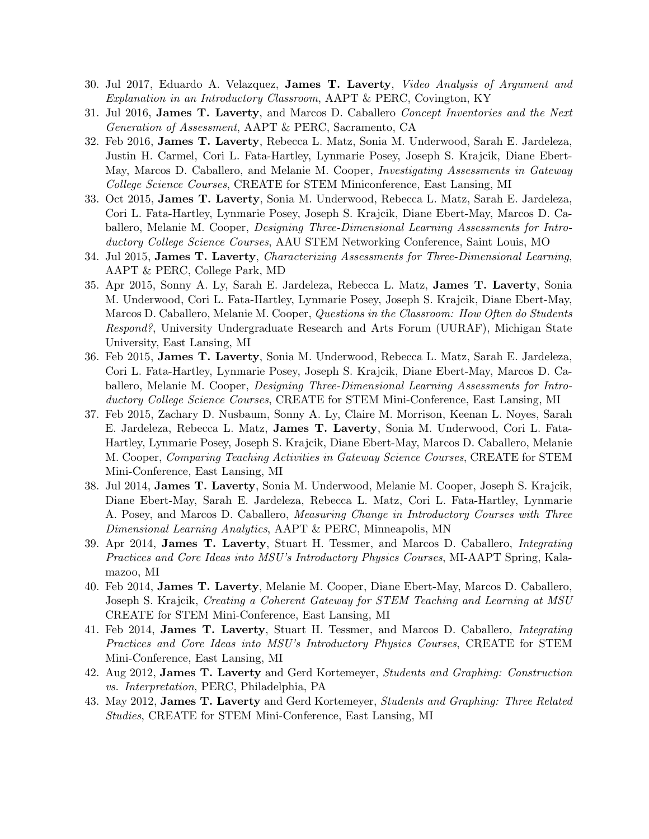- 30. Jul 2017, Eduardo A. Velazquez, James T. Laverty, Video Analysis of Argument and Explanation in an Introductory Classroom, AAPT & PERC, Covington, KY
- 31. Jul 2016, James T. Laverty, and Marcos D. Caballero *Concept Inventories and the Next* Generation of Assessment, AAPT & PERC, Sacramento, CA
- 32. Feb 2016, James T. Laverty, Rebecca L. Matz, Sonia M. Underwood, Sarah E. Jardeleza, Justin H. Carmel, Cori L. Fata-Hartley, Lynmarie Posey, Joseph S. Krajcik, Diane Ebert-May, Marcos D. Caballero, and Melanie M. Cooper, *Investigating Assessments in Gateway* College Science Courses, CREATE for STEM Miniconference, East Lansing, MI
- 33. Oct 2015, James T. Laverty, Sonia M. Underwood, Rebecca L. Matz, Sarah E. Jardeleza, Cori L. Fata-Hartley, Lynmarie Posey, Joseph S. Krajcik, Diane Ebert-May, Marcos D. Caballero, Melanie M. Cooper, *Designing Three-Dimensional Learning Assessments for Intro*ductory College Science Courses, AAU STEM Networking Conference, Saint Louis, MO
- 34. Jul 2015, James T. Laverty, Characterizing Assessments for Three-Dimensional Learning, AAPT & PERC, College Park, MD
- 35. Apr 2015, Sonny A. Ly, Sarah E. Jardeleza, Rebecca L. Matz, James T. Laverty, Sonia M. Underwood, Cori L. Fata-Hartley, Lynmarie Posey, Joseph S. Krajcik, Diane Ebert-May, Marcos D. Caballero, Melanie M. Cooper, Questions in the Classroom: How Often do Students Respond?, University Undergraduate Research and Arts Forum (UURAF), Michigan State University, East Lansing, MI
- 36. Feb 2015, James T. Laverty, Sonia M. Underwood, Rebecca L. Matz, Sarah E. Jardeleza, Cori L. Fata-Hartley, Lynmarie Posey, Joseph S. Krajcik, Diane Ebert-May, Marcos D. Caballero, Melanie M. Cooper, *Designing Three-Dimensional Learning Assessments for Intro*ductory College Science Courses, CREATE for STEM Mini-Conference, East Lansing, MI
- 37. Feb 2015, Zachary D. Nusbaum, Sonny A. Ly, Claire M. Morrison, Keenan L. Noyes, Sarah E. Jardeleza, Rebecca L. Matz, James T. Laverty, Sonia M. Underwood, Cori L. Fata-Hartley, Lynmarie Posey, Joseph S. Krajcik, Diane Ebert-May, Marcos D. Caballero, Melanie M. Cooper, Comparing Teaching Activities in Gateway Science Courses, CREATE for STEM Mini-Conference, East Lansing, MI
- 38. Jul 2014, James T. Laverty, Sonia M. Underwood, Melanie M. Cooper, Joseph S. Krajcik, Diane Ebert-May, Sarah E. Jardeleza, Rebecca L. Matz, Cori L. Fata-Hartley, Lynmarie A. Posey, and Marcos D. Caballero, Measuring Change in Introductory Courses with Three Dimensional Learning Analytics, AAPT & PERC, Minneapolis, MN
- 39. Apr 2014, James T. Laverty, Stuart H. Tessmer, and Marcos D. Caballero, Integrating Practices and Core Ideas into MSU's Introductory Physics Courses, MI-AAPT Spring, Kalamazoo, MI
- 40. Feb 2014, James T. Laverty, Melanie M. Cooper, Diane Ebert-May, Marcos D. Caballero, Joseph S. Krajcik, Creating a Coherent Gateway for STEM Teaching and Learning at MSU CREATE for STEM Mini-Conference, East Lansing, MI
- 41. Feb 2014, James T. Laverty, Stuart H. Tessmer, and Marcos D. Caballero, Integrating Practices and Core Ideas into MSU's Introductory Physics Courses, CREATE for STEM Mini-Conference, East Lansing, MI
- 42. Aug 2012, James T. Laverty and Gerd Kortemeyer, Students and Graphing: Construction vs. Interpretation, PERC, Philadelphia, PA
- 43. May 2012, James T. Laverty and Gerd Kortemeyer, Students and Graphing: Three Related Studies, CREATE for STEM Mini-Conference, East Lansing, MI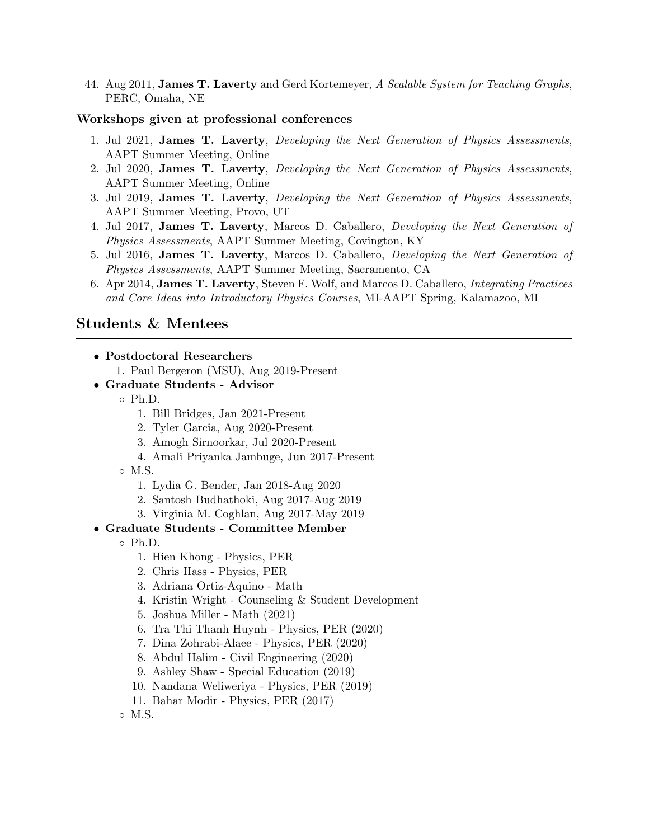44. Aug 2011, **James T. Laverty** and Gerd Kortemeyer, A Scalable System for Teaching Graphs, PERC, Omaha, NE

#### Workshops given at professional conferences

- 1. Jul 2021, James T. Laverty, Developing the Next Generation of Physics Assessments, AAPT Summer Meeting, Online
- 2. Jul 2020, James T. Laverty, Developing the Next Generation of Physics Assessments, AAPT Summer Meeting, Online
- 3. Jul 2019, James T. Laverty, Developing the Next Generation of Physics Assessments, AAPT Summer Meeting, Provo, UT
- 4. Jul 2017, James T. Laverty, Marcos D. Caballero, Developing the Next Generation of Physics Assessments, AAPT Summer Meeting, Covington, KY
- 5. Jul 2016, James T. Laverty, Marcos D. Caballero, Developing the Next Generation of Physics Assessments, AAPT Summer Meeting, Sacramento, CA
- 6. Apr 2014, James T. Laverty, Steven F. Wolf, and Marcos D. Caballero, Integrating Practices and Core Ideas into Introductory Physics Courses, MI-AAPT Spring, Kalamazoo, MI

## Students & Mentees

- 1. Paul Bergeron (MSU), Aug 2019-Present
- Graduate Students Advisor
	- Ph.D.
		- 1. Bill Bridges, Jan 2021-Present
		- 2. Tyler Garcia, Aug 2020-Present
		- 3. Amogh Sirnoorkar, Jul 2020-Present
		- 4. Amali Priyanka Jambuge, Jun 2017-Present
	- M.S.
		- 1. Lydia G. Bender, Jan 2018-Aug 2020
		- 2. Santosh Budhathoki, Aug 2017-Aug 2019
		- 3. Virginia M. Coghlan, Aug 2017-May 2019
- Graduate Students Committee Member
	- Ph.D.
		- 1. Hien Khong Physics, PER
		- 2. Chris Hass Physics, PER
		- 3. Adriana Ortiz-Aquino Math
		- 4. Kristin Wright Counseling & Student Development
		- 5. Joshua Miller Math (2021)
		- 6. Tra Thi Thanh Huynh Physics, PER (2020)
		- 7. Dina Zohrabi-Alaee Physics, PER (2020)
		- 8. Abdul Halim Civil Engineering (2020)
		- 9. Ashley Shaw Special Education (2019)
		- 10. Nandana Weliweriya Physics, PER (2019)
		- 11. Bahar Modir Physics, PER (2017)
	- M.S.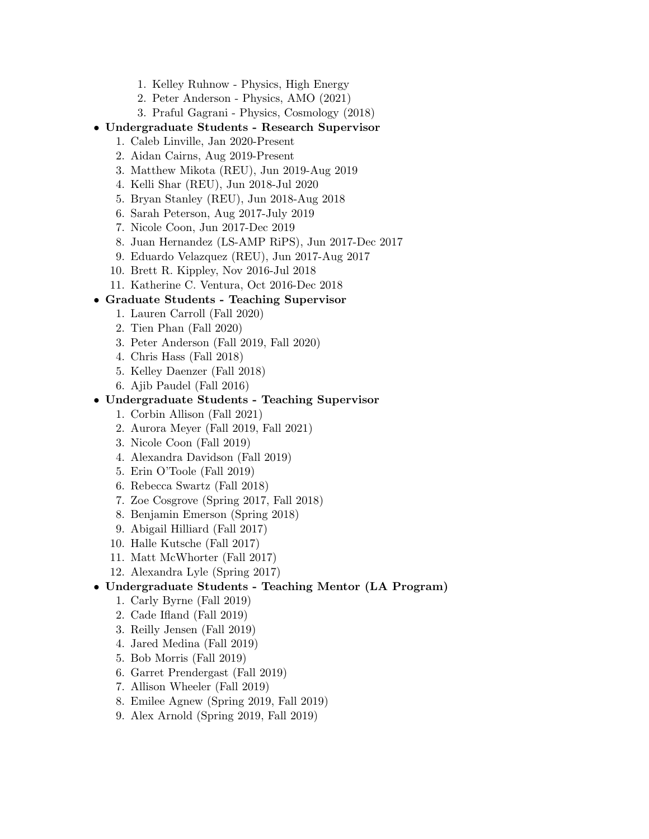- 1. Kelley Ruhnow Physics, High Energy
- 2. Peter Anderson Physics, AMO (2021)
- 3. Praful Gagrani Physics, Cosmology (2018)
- Undergraduate Students Research Supervisor
	- 1. Caleb Linville, Jan 2020-Present
	- 2. Aidan Cairns, Aug 2019-Present
	- 3. Matthew Mikota (REU), Jun 2019-Aug 2019
	- 4. Kelli Shar (REU), Jun 2018-Jul 2020
	- 5. Bryan Stanley (REU), Jun 2018-Aug 2018
	- 6. Sarah Peterson, Aug 2017-July 2019
	- 7. Nicole Coon, Jun 2017-Dec 2019
	- 8. Juan Hernandez (LS-AMP RiPS), Jun 2017-Dec 2017
	- 9. Eduardo Velazquez (REU), Jun 2017-Aug 2017
	- 10. Brett R. Kippley, Nov 2016-Jul 2018
	- 11. Katherine C. Ventura, Oct 2016-Dec 2018

## • Graduate Students - Teaching Supervisor

- 1. Lauren Carroll (Fall 2020)
- 2. Tien Phan (Fall 2020)
- 3. Peter Anderson (Fall 2019, Fall 2020)
- 4. Chris Hass (Fall 2018)
- 5. Kelley Daenzer (Fall 2018)
- 6. Ajib Paudel (Fall 2016)

### • Undergraduate Students - Teaching Supervisor

- 1. Corbin Allison (Fall 2021)
- 2. Aurora Meyer (Fall 2019, Fall 2021)
- 3. Nicole Coon (Fall 2019)
- 4. Alexandra Davidson (Fall 2019)
- 5. Erin O'Toole (Fall 2019)
- 6. Rebecca Swartz (Fall 2018)
- 7. Zoe Cosgrove (Spring 2017, Fall 2018)
- 8. Benjamin Emerson (Spring 2018)
- 9. Abigail Hilliard (Fall 2017)
- 10. Halle Kutsche (Fall 2017)
- 11. Matt McWhorter (Fall 2017)
- 12. Alexandra Lyle (Spring 2017)

## • Undergraduate Students - Teaching Mentor (LA Program)

- 1. Carly Byrne (Fall 2019)
- 2. Cade Ifland (Fall 2019)
- 3. Reilly Jensen (Fall 2019)
- 4. Jared Medina (Fall 2019)
- 5. Bob Morris (Fall 2019)
- 6. Garret Prendergast (Fall 2019)
- 7. Allison Wheeler (Fall 2019)
- 8. Emilee Agnew (Spring 2019, Fall 2019)
- 9. Alex Arnold (Spring 2019, Fall 2019)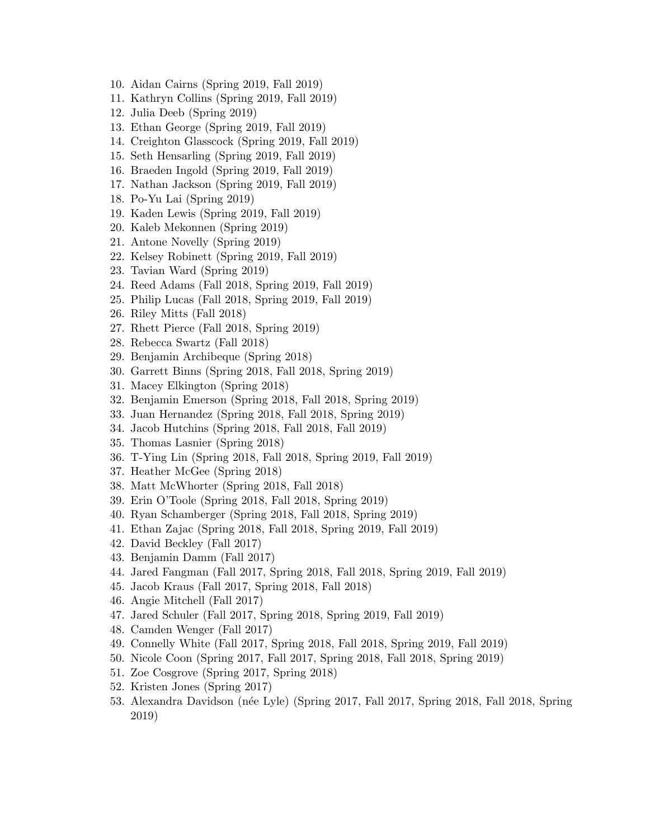- 10. Aidan Cairns (Spring 2019, Fall 2019)
- 11. Kathryn Collins (Spring 2019, Fall 2019)
- 12. Julia Deeb (Spring 2019)
- 13. Ethan George (Spring 2019, Fall 2019)
- 14. Creighton Glasscock (Spring 2019, Fall 2019)
- 15. Seth Hensarling (Spring 2019, Fall 2019)
- 16. Braeden Ingold (Spring 2019, Fall 2019)
- 17. Nathan Jackson (Spring 2019, Fall 2019)
- 18. Po-Yu Lai (Spring 2019)
- 19. Kaden Lewis (Spring 2019, Fall 2019)
- 20. Kaleb Mekonnen (Spring 2019)
- 21. Antone Novelly (Spring 2019)
- 22. Kelsey Robinett (Spring 2019, Fall 2019)
- 23. Tavian Ward (Spring 2019)
- 24. Reed Adams (Fall 2018, Spring 2019, Fall 2019)
- 25. Philip Lucas (Fall 2018, Spring 2019, Fall 2019)
- 26. Riley Mitts (Fall 2018)
- 27. Rhett Pierce (Fall 2018, Spring 2019)
- 28. Rebecca Swartz (Fall 2018)
- 29. Benjamin Archibeque (Spring 2018)
- 30. Garrett Binns (Spring 2018, Fall 2018, Spring 2019)
- 31. Macey Elkington (Spring 2018)
- 32. Benjamin Emerson (Spring 2018, Fall 2018, Spring 2019)
- 33. Juan Hernandez (Spring 2018, Fall 2018, Spring 2019)
- 34. Jacob Hutchins (Spring 2018, Fall 2018, Fall 2019)
- 35. Thomas Lasnier (Spring 2018)
- 36. T-Ying Lin (Spring 2018, Fall 2018, Spring 2019, Fall 2019)
- 37. Heather McGee (Spring 2018)
- 38. Matt McWhorter (Spring 2018, Fall 2018)
- 39. Erin O'Toole (Spring 2018, Fall 2018, Spring 2019)
- 40. Ryan Schamberger (Spring 2018, Fall 2018, Spring 2019)
- 41. Ethan Zajac (Spring 2018, Fall 2018, Spring 2019, Fall 2019)
- 42. David Beckley (Fall 2017)
- 43. Benjamin Damm (Fall 2017)
- 44. Jared Fangman (Fall 2017, Spring 2018, Fall 2018, Spring 2019, Fall 2019)
- 45. Jacob Kraus (Fall 2017, Spring 2018, Fall 2018)
- 46. Angie Mitchell (Fall 2017)
- 47. Jared Schuler (Fall 2017, Spring 2018, Spring 2019, Fall 2019)
- 48. Camden Wenger (Fall 2017)
- 49. Connelly White (Fall 2017, Spring 2018, Fall 2018, Spring 2019, Fall 2019)
- 50. Nicole Coon (Spring 2017, Fall 2017, Spring 2018, Fall 2018, Spring 2019)
- 51. Zoe Cosgrove (Spring 2017, Spring 2018)
- 52. Kristen Jones (Spring 2017)
- 53. Alexandra Davidson (n´ee Lyle) (Spring 2017, Fall 2017, Spring 2018, Fall 2018, Spring 2019)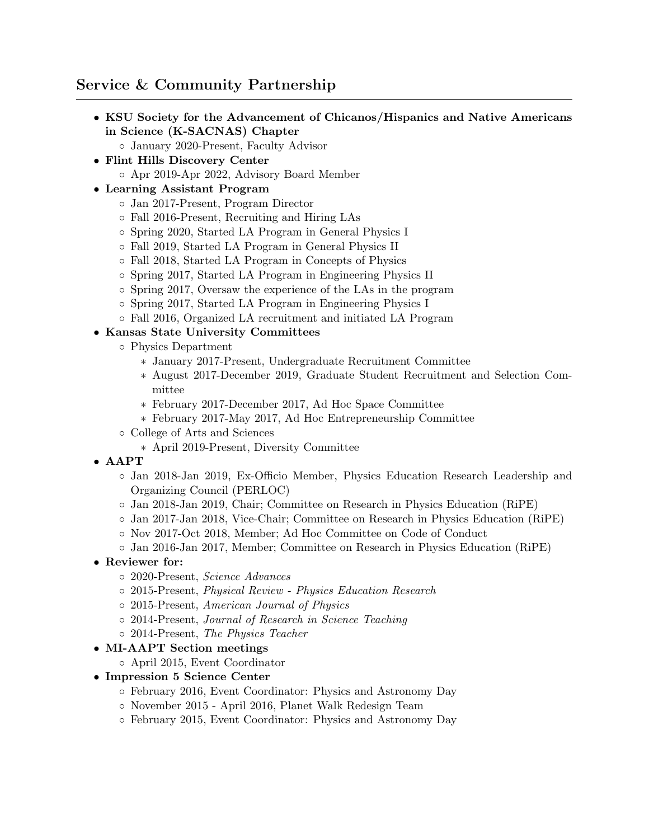# Service & Community Partnership

- KSU Society for the Advancement of Chicanos/Hispanics and Native Americans in Science (K-SACNAS) Chapter
	- January 2020-Present, Faculty Advisor
- Flint Hills Discovery Center
	- Apr 2019-Apr 2022, Advisory Board Member

# • Learning Assistant Program

- Jan 2017-Present, Program Director
- Fall 2016-Present, Recruiting and Hiring LAs
- Spring 2020, Started LA Program in General Physics I
- Fall 2019, Started LA Program in General Physics II
- Fall 2018, Started LA Program in Concepts of Physics
- Spring 2017, Started LA Program in Engineering Physics II
- Spring 2017, Oversaw the experience of the LAs in the program
- Spring 2017, Started LA Program in Engineering Physics I
- Fall 2016, Organized LA recruitment and initiated LA Program

# • Kansas State University Committees

- Physics Department
	- ∗ January 2017-Present, Undergraduate Recruitment Committee
	- ∗ August 2017-December 2019, Graduate Student Recruitment and Selection Committee
	- ∗ February 2017-December 2017, Ad Hoc Space Committee
	- ∗ February 2017-May 2017, Ad Hoc Entrepreneurship Committee
- College of Arts and Sciences
	- ∗ April 2019-Present, Diversity Committee
- AAPT
	- Jan 2018-Jan 2019, Ex-Officio Member, Physics Education Research Leadership and Organizing Council (PERLOC)
	- Jan 2018-Jan 2019, Chair; Committee on Research in Physics Education (RiPE)
	- Jan 2017-Jan 2018, Vice-Chair; Committee on Research in Physics Education (RiPE)
	- Nov 2017-Oct 2018, Member; Ad Hoc Committee on Code of Conduct
	- Jan 2016-Jan 2017, Member; Committee on Research in Physics Education (RiPE)
- Reviewer for:
	- 2020-Present, Science Advances
	- 2015-Present, Physical Review Physics Education Research
	- 2015-Present, American Journal of Physics
	- 2014-Present, Journal of Research in Science Teaching
	- 2014-Present, The Physics Teacher
- MI-AAPT Section meetings
	- April 2015, Event Coordinator
- Impression 5 Science Center
	- February 2016, Event Coordinator: Physics and Astronomy Day
	- November 2015 April 2016, Planet Walk Redesign Team
	- February 2015, Event Coordinator: Physics and Astronomy Day